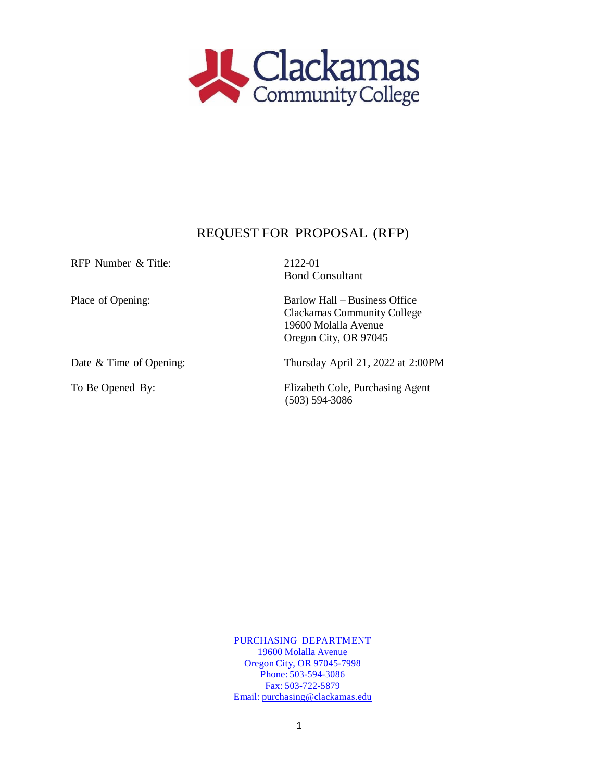

# REQUEST FOR PROPOSAL (RFP)

| RFP Number & Title:     | 2122-01                                                                                                              |  |
|-------------------------|----------------------------------------------------------------------------------------------------------------------|--|
|                         | <b>Bond Consultant</b>                                                                                               |  |
| Place of Opening:       | Barlow Hall – Business Office<br><b>Clackamas Community College</b><br>19600 Molalla Avenue<br>Oregon City, OR 97045 |  |
| Date & Time of Opening: | Thursday April 21, 2022 at 2:00PM                                                                                    |  |
| To Be Opened By:        | Elizabeth Cole, Purchasing Agent<br>$(503) 594-3086$                                                                 |  |

PURCHASING DEPARTMENT 19600 Molalla Avenue Oregon City, OR 97045-7998 Phone: 503-594-3086 Fax: 503-722-5879 Email: [purchasing@clackamas.edu](mailto:purchasing@clackamas.edu)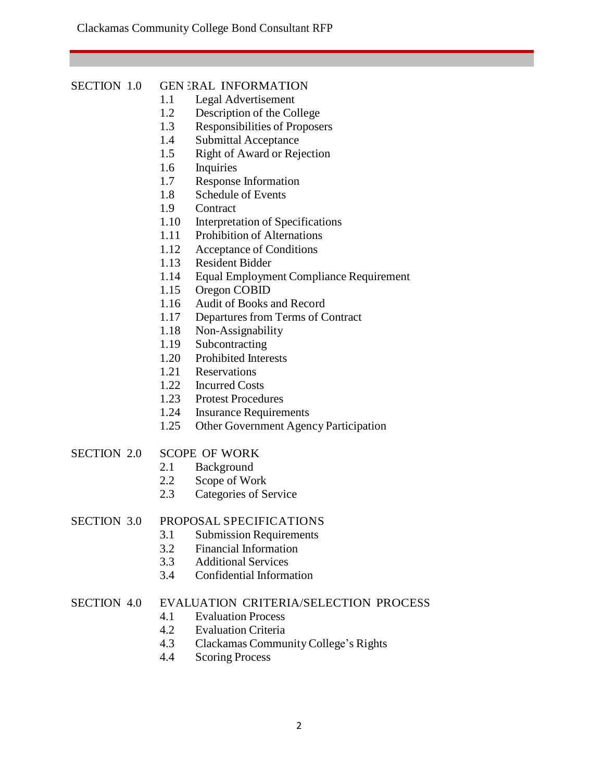#### SECTION 1.0 **GEN ERAL INFORMATION**

- 1.1 Legal Advertisement
- 1.2 Description of the College
- 1.3 Responsibilities of Proposers
- 1.4 Submittal Acceptance
- 1.5 Right of Award or Rejection
- 1.6 Inquiries
- 1.7 Response Information
- 1.8 Schedule of Events
- 1.9 Contract
- 1.10 Interpretation of Specifications
- 1.11 Prohibition of Alternations
- 1.12 Acceptance of Conditions
- 1.13 Resident Bidder
- 1.14 Equal Employment Compliance Requirement
- 1.15 Oregon COBID
- 1.16 Audit of Books and Record
- 1.17 Departures from Terms of Contract
- 1.18 Non-Assignability
- 1.19 Subcontracting
- 1.20 Prohibited Interests
- 1.21 Reservations
- 1.22 Incurred Costs
- 1.23 Protest Procedures
- 1.24 Insurance Requirements
- 1.25 Other Government Agency Participation

# SECTION 2.0 SCOPE OF WORK

- 2.1 Background
- 2.2 Scope of Work
- 2.3 Categories of Service

# SECTION 3.0 PROPOSAL SPECIFICATIONS

- 3.1 Submission Requirements
- 3.2 Financial Information
- 3.3 Additional Services
- 3.4 Confidential Information

# SECTION 4.0 EVALUATION CRITERIA/SELECTION PROCESS

- 4.1 Evaluation Process<br>4.2 Evaluation Criteria
- **Evaluation Criteria**
- 4.3 Clackamas CommunityCollege's Rights
- 4.4 Scoring Process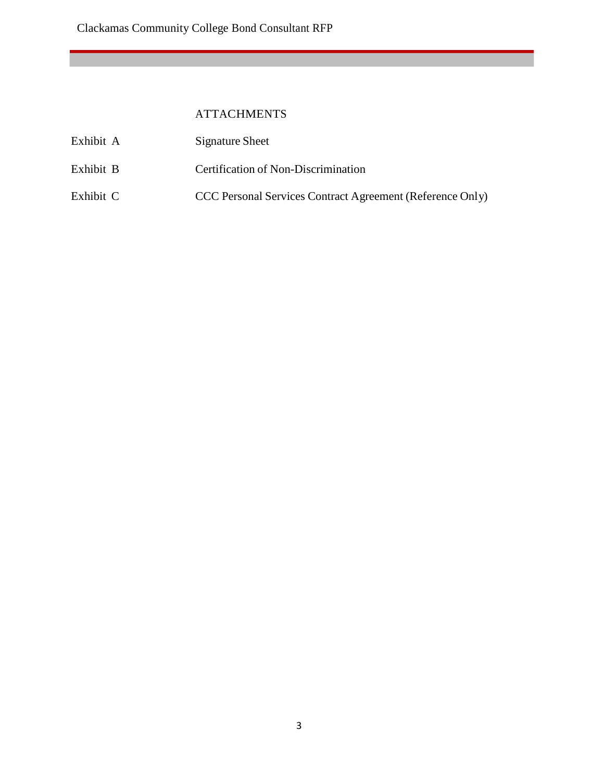# ATTACHMENTS

| Exhibit A | Signature Sheet                                           |
|-----------|-----------------------------------------------------------|
| Exhibit B | Certification of Non-Discrimination                       |
| Exhibit C | CCC Personal Services Contract Agreement (Reference Only) |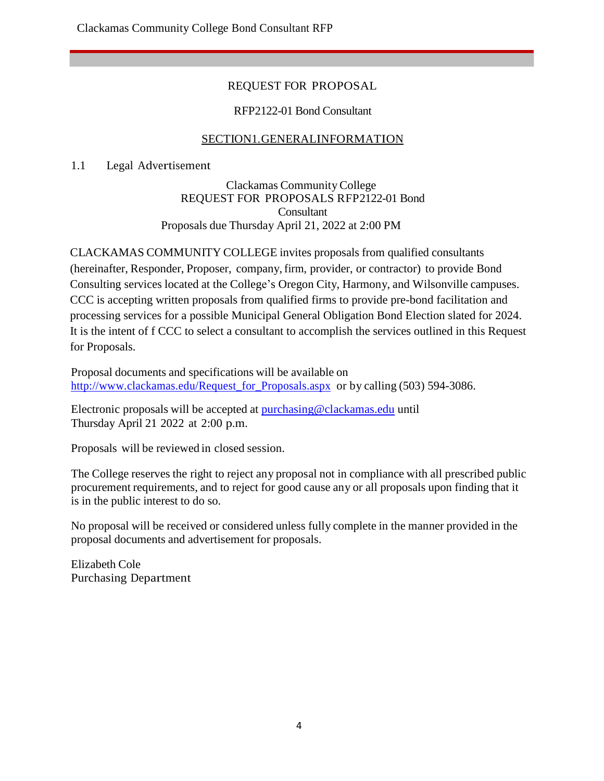# REQUEST FOR PROPOSAL

# RFP2122-01 Bond Consultant

# SECTION1.GENERALINFORMATION

1.1 Legal Advertisement

Clackamas CommunityCollege REQUEST FOR PROPOSALS RFP2122-01 Bond **Consultant** Proposals due Thursday April 21, 2022 at 2:00 PM

CLACKAMAS COMMUNITY COLLEGE invites proposals from qualified consultants (hereinafter, Responder, Proposer, company,firm, provider, or contractor) to provide Bond Consulting services located at the College's Oregon City, Harmony, and Wilsonville campuses. CCC is accepting written proposals from qualified firms to provide pre-bond facilitation and processing services for a possible Municipal General Obligation Bond Election slated for 2024. It is the intent of f CCC to select a consultant to accomplish the services outlined in this Request for Proposals.

Proposal documents and specifications will be available on [http://www.clackamas.edu/Request\\_for\\_Proposals.aspx](http://www.clackamas.edu/Request_for_Proposals.aspx) or by calling (503) 594-3086.

Electronic proposals will be accepted at [purchasing@clackamas.edu](mailto:purchasing@clackamas.edu) until Thursday April 21 2022 at 2:00 p.m.

Proposals will be reviewed in closed session.

The College reserves the right to reject any proposal not in compliance with all prescribed public procurement requirements, and to reject for good cause any or all proposals upon finding that it is in the public interest to do so.

No proposal will be received or considered unless fully complete in the manner provided in the proposal documents and advertisement for proposals.

Elizabeth Cole Purchasing Department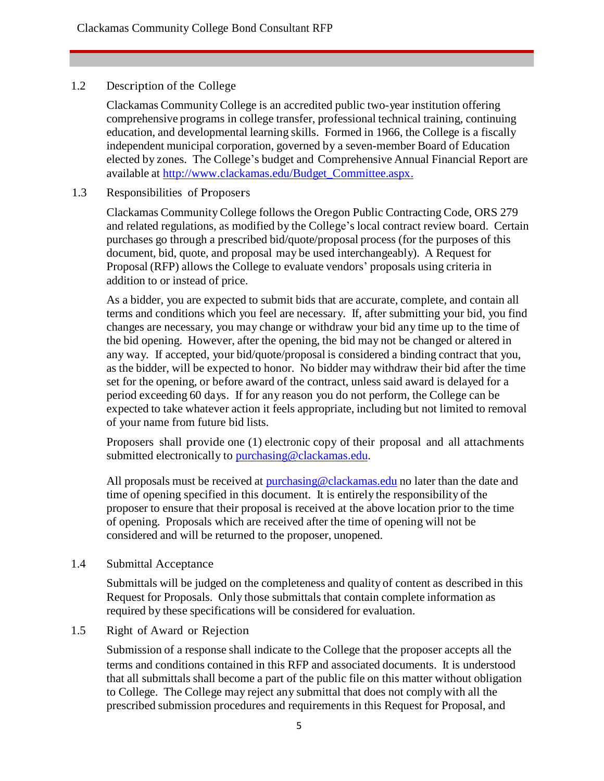# 1.2 Description of the College

Clackamas CommunityCollege is an accredited public two-year institution offering comprehensive programs in college transfer, professional technical training, continuing education, and developmental learning skills. Formed in 1966, the College is a fiscally independent municipal corporation, governed by a seven-member Board of Education elected by zones. The College's budget and Comprehensive Annual Financial Report are available at [http://www.clackamas.edu/Budget\\_Committee.aspx.](http://www.clackamas.edu/Budget_Committee.aspx)

# 1.3 Responsibilities of Proposers

Clackamas CommunityCollege follows the Oregon Public Contracting Code, ORS 279 and related regulations, as modified by the College's local contract review board. Certain purchases go through a prescribed bid/quote/proposal process (for the purposes of this document, bid, quote, and proposal may be used interchangeably). A Request for Proposal (RFP) allows the College to evaluate vendors' proposals using criteria in addition to or instead of price.

As a bidder, you are expected to submit bids that are accurate, complete, and contain all terms and conditions which you feel are necessary. If, after submitting your bid, you find changes are necessary, you may change or withdraw your bid any time up to the time of the bid opening. However, after the opening, the bid may not be changed or altered in any way. If accepted, your bid/quote/proposal is considered a binding contract that you, as the bidder, will be expected to honor. No bidder may withdraw their bid after the time set for the opening, or before award of the contract, unless said award is delayed for a period exceeding 60 days. If for any reason you do not perform, the College can be expected to take whatever action it feels appropriate, including but not limited to removal of your name from future bid lists.

Proposers shall provide one (1) electronic copy of their proposal and all attachments submitted electronically to [purchasing@clackamas.edu.](mailto:purchasing@clackamas.edu)

All proposals must be received at [purchasing@clackamas.edu](mailto:purchasing@clackamas.edu) no later than the date and time of opening specified in this document. It is entirely the responsibility of the proposer to ensure that their proposal is received at the above location prior to the time of opening. Proposals which are received after the time of opening will not be considered and will be returned to the proposer, unopened.

# 1.4 Submittal Acceptance

Submittals will be judged on the completeness and quality of content as described in this Request for Proposals. Only those submittals that contain complete information as required by these specifications will be considered for evaluation.

# 1.5 Right of Award or Rejection

Submission of a response shall indicate to the College that the proposer accepts all the terms and conditions contained in this RFP and associated documents. It is understood that all submittals shall become a part of the public file on this matter without obligation to College. The College may reject any submittal that does not comply with all the prescribed submission procedures and requirements in this Request for Proposal, and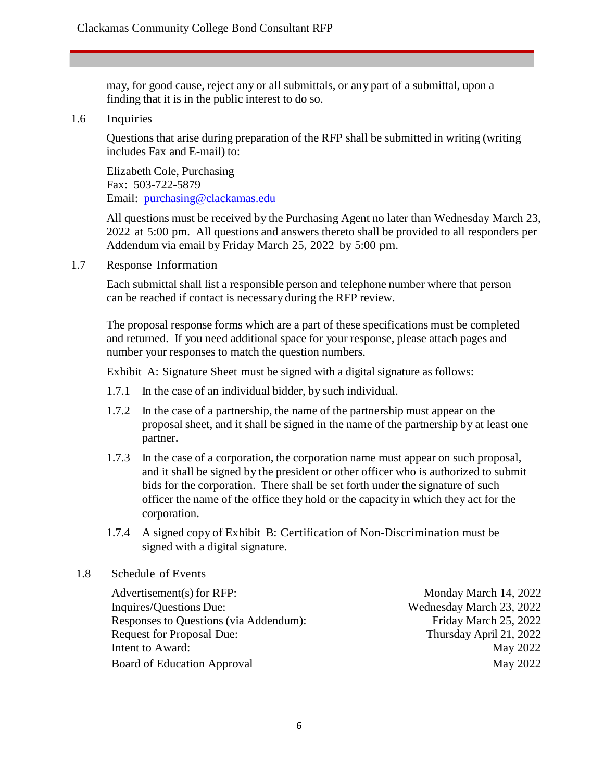may, for good cause, reject any or all submittals, or any part of a submittal, upon a finding that it is in the public interest to do so.

#### 1.6 Inquiries

Questions that arise during preparation of the RFP shall be submitted in writing (writing includes Fax and E-mail) to:

Elizabeth Cole, Purchasing Fax: 503-722-5879 Email: [purchasing@clackamas.edu](mailto:purchasing@clackamas.edu)

All questions must be received by the Purchasing Agent no later than Wednesday March 23, 2022 at 5:00 pm. All questions and answers thereto shall be provided to all responders per Addendum via email by Friday March 25, 2022 by 5:00 pm.

1.7 Response Information

Each submittal shall list a responsible person and telephone number where that person can be reached if contact is necessary during the RFP review.

The proposal response forms which are a part of these specifications must be completed and returned. If you need additional space for your response, please attach pages and number your responses to match the question numbers.

Exhibit A: Signature Sheet must be signed with a digital signature as follows:

- 1.7.1 In the case of an individual bidder, by such individual.
- 1.7.2 In the case of a partnership, the name of the partnership must appear on the proposal sheet, and it shall be signed in the name of the partnership by at least one partner.
- 1.7.3 In the case of a corporation, the corporation name must appear on such proposal, and it shall be signed by the president or other officer who is authorized to submit bids for the corporation. There shall be set forth under the signature of such officer the name of the office they hold or the capacity in which they act for the corporation.
- 1.7.4 A signed copy of Exhibit B: Certification of Non-Discrimination must be signed with a digital signature.

#### 1.8 Schedule of Events

Advertisement(s) for RFP: Monday March 14, 2022 Inquires/Questions Due: Wednesday March 23, 2022 Responses to Questions (via Addendum): Friday March 25, 2022 Request for Proposal Due: Thursday April 21, 2022 Intent to Award: May 2022 Board of Education Approval May 2022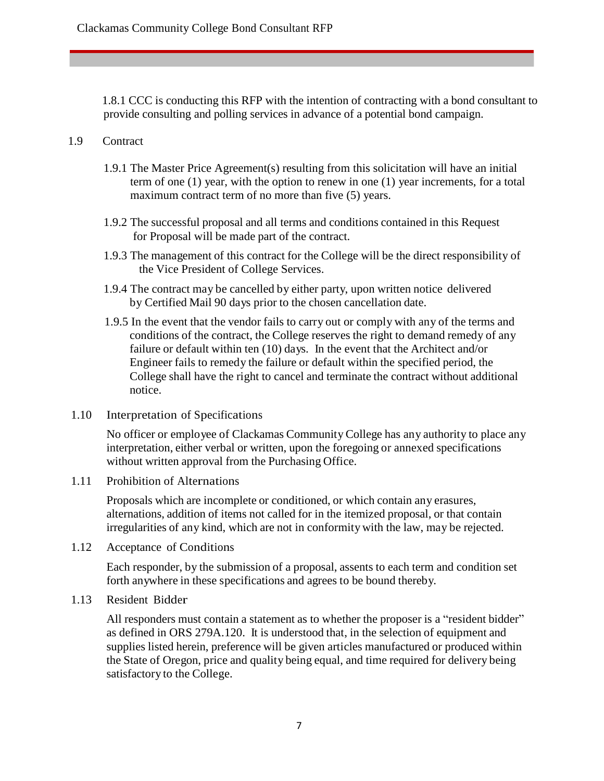1.8.1 CCC is conducting this RFP with the intention of contracting with a bond consultant to provide consulting and polling services in advance of a potential bond campaign.

# 1.9 Contract

- 1.9.1 The Master Price Agreement(s) resulting from this solicitation will have an initial term of one (1) year, with the option to renew in one (1) year increments, for a total maximum contract term of no more than five (5) years.
- 1.9.2 The successful proposal and all terms and conditions contained in this Request for Proposal will be made part of the contract.
- 1.9.3 The management of this contract for the College will be the direct responsibility of the Vice President of College Services.
- 1.9.4 The contract may be cancelled by either party, upon written notice delivered by Certified Mail 90 days prior to the chosen cancellation date.
- 1.9.5 In the event that the vendor fails to carry out or comply with any of the terms and conditions of the contract, the College reserves the right to demand remedy of any failure or default within ten (10) days. In the event that the Architect and/or Engineer fails to remedy the failure or default within the specified period, the College shall have the right to cancel and terminate the contract without additional notice.
- 1.10 Interpretation of Specifications

No officer or employee of Clackamas Community College has any authority to place any interpretation, either verbal or written, upon the foregoing or annexed specifications without written approval from the Purchasing Office.

1.11 Prohibition of Alternations

Proposals which are incomplete or conditioned, or which contain any erasures, alternations, addition of items not called for in the itemized proposal, or that contain irregularities of any kind, which are not in conformity with the law, may be rejected.

1.12 Acceptance of Conditions

Each responder, by the submission of a proposal, assents to each term and condition set forth anywhere in these specifications and agrees to be bound thereby.

1.13 Resident Bidder

All responders must contain a statement as to whether the proposer is a "resident bidder" as defined in ORS 279A.120. It is understood that, in the selection of equipment and supplies listed herein, preference will be given articles manufactured or produced within the State of Oregon, price and quality being equal, and time required for delivery being satisfactory to the College.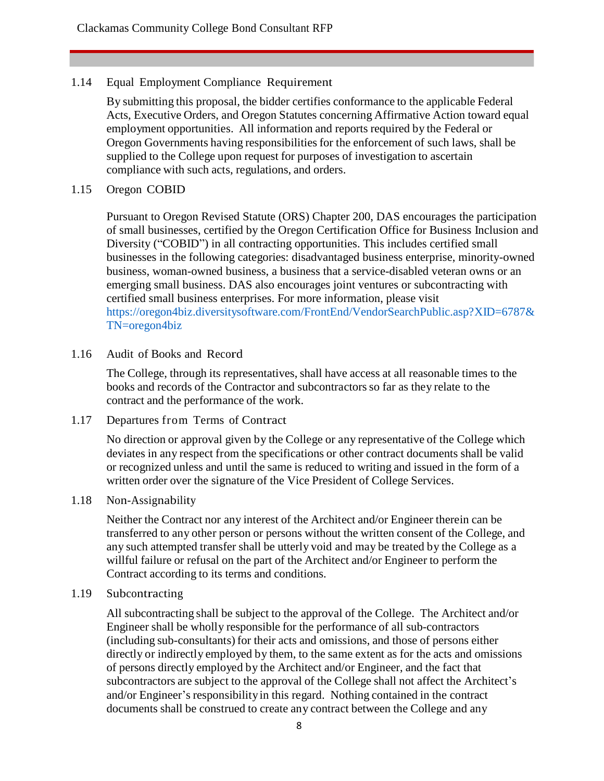## 1.14 Equal Employment Compliance Requirement

By submitting this proposal, the bidder certifies conformance to the applicable Federal Acts, Executive Orders, and Oregon Statutes concerning Affirmative Action toward equal employment opportunities. All information and reports required by the Federal or Oregon Governments having responsibilities for the enforcement of such laws, shall be supplied to the College upon request for purposes of investigation to ascertain compliance with such acts, regulations, and orders.

#### 1.15 Oregon COBID

Pursuant to Oregon Revised Statute (ORS) Chapter 200, DAS encourages the participation of small businesses, certified by the Oregon Certification Office for Business Inclusion and Diversity ("COBID") in all contracting opportunities. This includes certified small businesses in the following categories: disadvantaged business enterprise, minority-owned business, woman-owned business, a business that a service-disabled veteran owns or an emerging small business. DAS also encourages joint ventures or subcontracting with certified small business enterprises. For more information, please visit https://oregon4biz.diversitysoftware.com/FrontEnd/VendorSearchPublic.asp?XID=6787& TN=oregon4biz

#### 1.16 Audit of Books and Record

The College, through its representatives, shall have access at all reasonable times to the books and records of the Contractor and subcontractorsso far as they relate to the contract and the performance of the work.

1.17 Departures from Terms of Contract

No direction or approval given by the College or any representative of the College which deviates in any respect from the specifications or other contract documents shall be valid or recognized unless and until the same is reduced to writing and issued in the form of a written order over the signature of the Vice President of College Services.

#### 1.18 Non-Assignability

Neither the Contract nor any interest of the Architect and/or Engineer therein can be transferred to any other person or persons without the written consent of the College, and any such attempted transfer shall be utterly void and may be treated by the College as a willful failure or refusal on the part of the Architect and/or Engineer to perform the Contract according to its terms and conditions.

## 1.19 Subcontracting

All subcontracting shall be subject to the approval of the College. The Architect and/or Engineer shall be wholly responsible for the performance of all sub-contractors (including sub-consultants) for their acts and omissions, and those of persons either directly or indirectly employed by them, to the same extent as for the acts and omissions of persons directly employed by the Architect and/or Engineer, and the fact that subcontractors are subject to the approval of the College shall not affect the Architect's and/or Engineer's responsibilityin this regard. Nothing contained in the contract documents shall be construed to create any contract between the College and any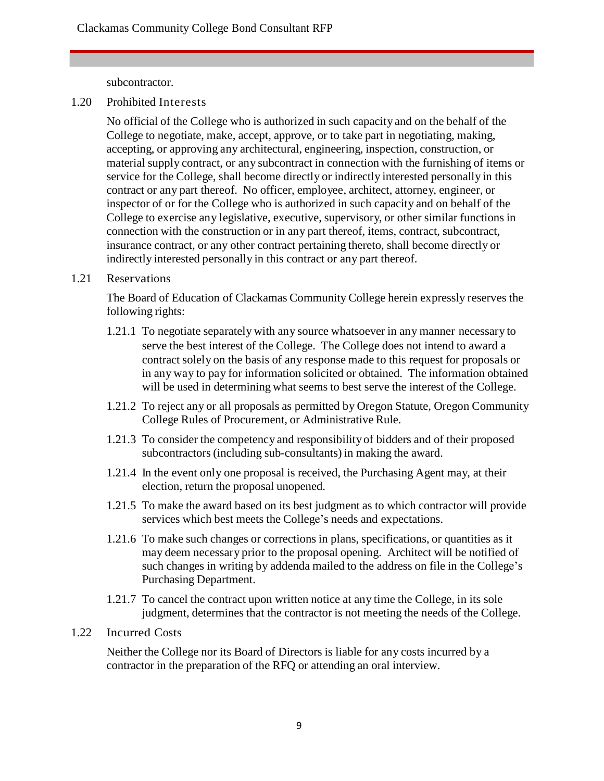subcontractor.

1.20 Prohibited Interests

No official of the College who is authorized in such capacity and on the behalf of the College to negotiate, make, accept, approve, or to take part in negotiating, making, accepting, or approving any architectural, engineering, inspection, construction, or material supply contract, or any subcontract in connection with the furnishing of items or service for the College, shall become directly or indirectly interested personally in this contract or any part thereof. No officer, employee, architect, attorney, engineer, or inspector of or for the College who is authorized in such capacity and on behalf of the College to exercise any legislative, executive, supervisory, or other similar functions in connection with the construction or in any part thereof, items, contract, subcontract, insurance contract, or any other contract pertaining thereto, shall become directly or indirectly interested personally in this contract or any part thereof.

### 1.21 Reservations

The Board of Education of Clackamas Community College herein expressly reserves the following rights:

- 1.21.1 To negotiate separately with any source whatsoever in any manner necessary to serve the best interest of the College. The College does not intend to award a contract solely on the basis of any response made to this request for proposals or in any way to pay for information solicited or obtained. The information obtained will be used in determining what seems to best serve the interest of the College.
- 1.21.2 To reject any or all proposals as permitted by Oregon Statute, Oregon Community College Rules of Procurement, or Administrative Rule.
- 1.21.3 To consider the competency and responsibility of bidders and of their proposed subcontractors (including sub-consultants) in making the award.
- 1.21.4 In the event only one proposal is received, the Purchasing Agent may, at their election, return the proposal unopened.
- 1.21.5 To make the award based on its best judgment as to which contractor will provide services which best meets the College's needs and expectations.
- 1.21.6 To make such changes or corrections in plans, specifications, or quantities as it may deem necessary prior to the proposal opening. Architect will be notified of such changes in writing by addenda mailed to the address on file in the College's Purchasing Department.
- 1.21.7 To cancel the contract upon written notice at any time the College, in its sole judgment, determines that the contractor is not meeting the needs of the College.
- 1.22 Incurred Costs

Neither the College nor its Board of Directors is liable for any costs incurred by a contractor in the preparation of the RFQ or attending an oral interview.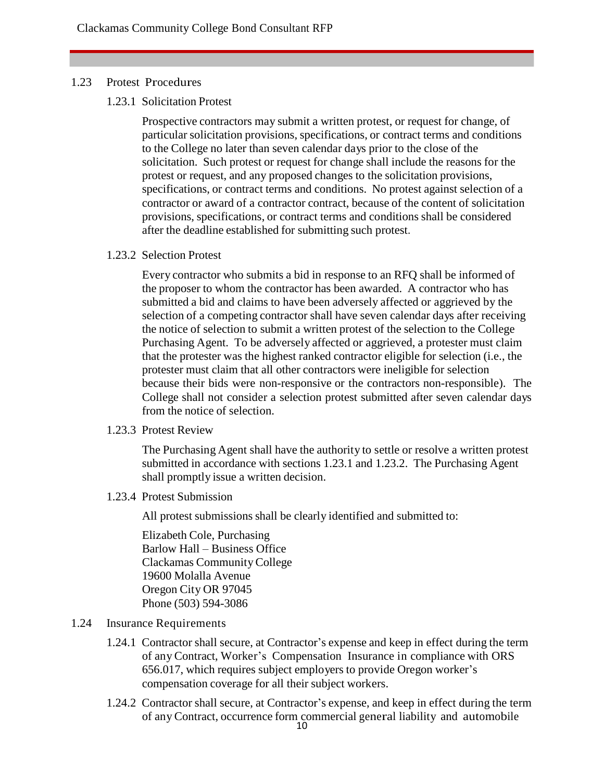#### 1.23 Protest Procedures

1.23.1 Solicitation Protest

Prospective contractors may submit a written protest, or request for change, of particular solicitation provisions, specifications, or contract terms and conditions to the College no later than seven calendar days prior to the close of the solicitation. Such protest or request for change shall include the reasons for the protest or request, and any proposed changes to the solicitation provisions, specifications, or contract terms and conditions. No protest against selection of a contractor or award of a contractor contract, because of the content of solicitation provisions, specifications, or contract terms and conditions shall be considered after the deadline established for submitting such protest.

1.23.2 Selection Protest

Every contractor who submits a bid in response to an RFQ shall be informed of the proposer to whom the contractor has been awarded. A contractor who has submitted a bid and claims to have been adversely affected or aggrieved by the selection of a competing contractor shall have seven calendar days after receiving the notice of selection to submit a written protest of the selection to the College Purchasing Agent. To be adversely affected or aggrieved, a protester must claim that the protester was the highest ranked contractor eligible for selection (i.e., the protester must claim that all other contractors were ineligible for selection because their bids were non-responsive or the contractors non-responsible). The College shall not consider a selection protest submitted after seven calendar days from the notice of selection.

1.23.3 Protest Review

The Purchasing Agent shall have the authority to settle or resolve a written protest submitted in accordance with sections 1.23.1 and 1.23.2. The Purchasing Agent shall promptly issue a written decision.

1.23.4 Protest Submission

All protest submissions shall be clearly identified and submitted to:

Elizabeth Cole, Purchasing Barlow Hall – Business Office Clackamas CommunityCollege 19600 Molalla Avenue Oregon City OR 97045 Phone (503) 594-3086

- 1.24 Insurance Requirements
	- 1.24.1 Contractor shall secure, at Contractor's expense and keep in effect during the term of any Contract, Worker's Compensation Insurance in compliance with ORS 656.017, which requires subject employers to provide Oregon worker's compensation coverage for all their subject workers.
	- 1.24.2 Contractor shall secure, at Contractor's expense, and keep in effect during the term of any Contract, occurrence form commercial general liability and automobile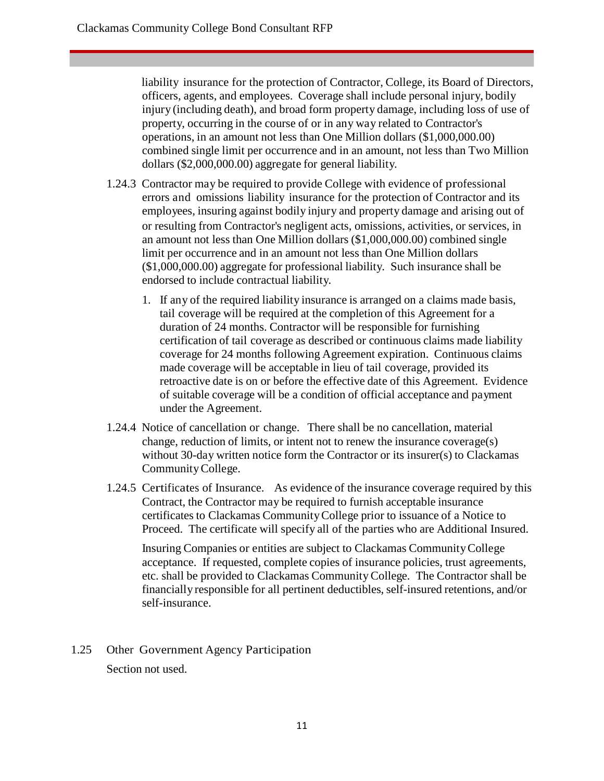liability insurance for the protection of Contractor, College, its Board of Directors, officers, agents, and employees. Coverage shall include personal injury, bodily injury (including death), and broad form property damage, including loss of use of property, occurring in the course of or in any way related to Contractor's operations, in an amount not less than One Million dollars (\$1,000,000.00) combined single limit per occurrence and in an amount, not less than Two Million dollars (\$2,000,000.00) aggregate for general liability.

- 1.24.3 Contractor may be required to provide College with evidence of professional errors and omissions liability insurance for the protection of Contractor and its employees, insuring against bodily injury and property damage and arising out of or resulting from Contractor's negligent acts, omissions, activities, or services, in an amount not less than One Million dollars (\$1,000,000.00) combined single limit per occurrence and in an amount not less than One Million dollars (\$1,000,000.00) aggregate for professional liability. Such insurance shall be endorsed to include contractual liability.
	- 1. If any of the required liability insurance is arranged on a claims made basis, tail coverage will be required at the completion of this Agreement for a duration of 24 months. Contractor will be responsible for furnishing certification of tail coverage as described or continuous claims made liability coverage for 24 months following Agreement expiration. Continuous claims made coverage will be acceptable in lieu of tail coverage, provided its retroactive date is on or before the effective date of this Agreement. Evidence of suitable coverage will be a condition of official acceptance and payment under the Agreement.
- 1.24.4 Notice of cancellation or change. There shall be no cancellation, material change, reduction of limits, or intent not to renew the insurance coverage(s) without 30-day written notice form the Contractor or its insurer(s) to Clackamas CommunityCollege.
- 1.24.5 Certificates of Insurance. As evidence of the insurance coverage required by this Contract, the Contractor may be required to furnish acceptable insurance certificates to Clackamas CommunityCollege prior to issuance of a Notice to Proceed. The certificate will specify all of the parties who are Additional Insured.

Insuring Companies or entities are subject to Clackamas CommunityCollege acceptance. If requested, complete copies of insurance policies, trust agreements, etc. shall be provided to Clackamas CommunityCollege. The Contractor shall be financially responsible for all pertinent deductibles, self-insured retentions, and/or self-insurance.

1.25 Other Government Agency Participation Section not used.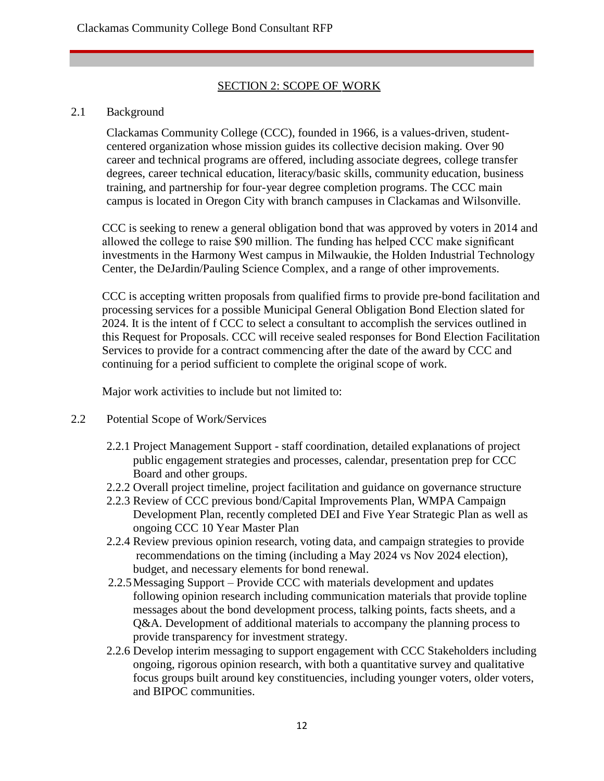# SECTION 2: SCOPE OF WORK

### 2.1 Background

Clackamas Community College (CCC), founded in 1966, is a values-driven, studentcentered organization whose mission guides its collective decision making. Over 90 career and technical programs are offered, including associate degrees, college transfer degrees, career technical education, literacy/basic skills, community education, business training, and partnership for four-year degree completion programs. The CCC main campus is located in Oregon City with branch campuses in Clackamas and Wilsonville.

CCC is seeking to renew a general obligation bond that was approved by voters in 2014 and allowed the college to raise \$90 million. The funding has helped CCC make significant investments in the Harmony West campus in Milwaukie, the Holden Industrial Technology Center, the DeJardin/Pauling Science Complex, and a range of other improvements.

CCC is accepting written proposals from qualified firms to provide pre-bond facilitation and processing services for a possible Municipal General Obligation Bond Election slated for 2024. It is the intent of f CCC to select a consultant to accomplish the services outlined in this Request for Proposals. CCC will receive sealed responses for Bond Election Facilitation Services to provide for a contract commencing after the date of the award by CCC and continuing for a period sufficient to complete the original scope of work.

Major work activities to include but not limited to:

- 2.2 Potential Scope of Work/Services
	- 2.2.1 Project Management Support staff coordination, detailed explanations of project public engagement strategies and processes, calendar, presentation prep for CCC Board and other groups.
	- 2.2.2 Overall project timeline, project facilitation and guidance on governance structure
	- 2.2.3 Review of CCC previous bond/Capital Improvements Plan, WMPA Campaign Development Plan, recently completed DEI and Five Year Strategic Plan as well as ongoing CCC 10 Year Master Plan
	- 2.2.4 Review previous opinion research, voting data, and campaign strategies to provide recommendations on the timing (including a May 2024 vs Nov 2024 election), budget, and necessary elements for bond renewal.
	- 2.2.5Messaging Support Provide CCC with materials development and updates following opinion research including communication materials that provide topline messages about the bond development process, talking points, facts sheets, and a Q&A. Development of additional materials to accompany the planning process to provide transparency for investment strategy.
	- 2.2.6 Develop interim messaging to support engagement with CCC Stakeholders including ongoing, rigorous opinion research, with both a quantitative survey and qualitative focus groups built around key constituencies, including younger voters, older voters, and BIPOC communities.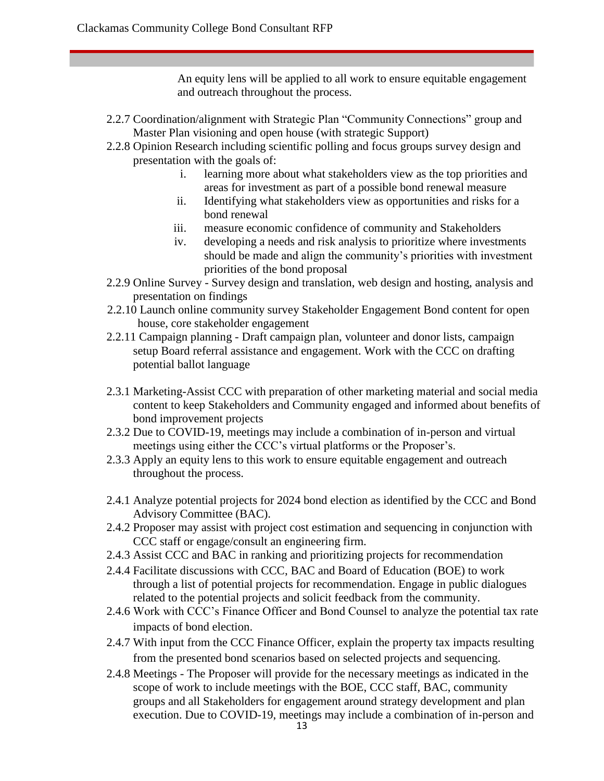An equity lens will be applied to all work to ensure equitable engagement and outreach throughout the process.

- 2.2.7 Coordination/alignment with Strategic Plan "Community Connections" group and Master Plan visioning and open house (with strategic Support)
- 2.2.8 Opinion Research including scientific polling and focus groups survey design and presentation with the goals of:
	- i. learning more about what stakeholders view as the top priorities and areas for investment as part of a possible bond renewal measure
	- ii. Identifying what stakeholders view as opportunities and risks for a bond renewal
	- iii. measure economic confidence of community and Stakeholders
	- iv. developing a needs and risk analysis to prioritize where investments should be made and align the community's priorities with investment priorities of the bond proposal
- 2.2.9 Online Survey Survey design and translation, web design and hosting, analysis and presentation on findings
- 2.2.10 Launch online community survey Stakeholder Engagement Bond content for open house, core stakeholder engagement
- 2.2.11 Campaign planning Draft campaign plan, volunteer and donor lists, campaign setup Board referral assistance and engagement. Work with the CCC on drafting potential ballot language
- 2.3.1 Marketing-Assist CCC with preparation of other marketing material and social media content to keep Stakeholders and Community engaged and informed about benefits of bond improvement projects
- 2.3.2 Due to COVID-19, meetings may include a combination of in-person and virtual meetings using either the CCC's virtual platforms or the Proposer's.
- 2.3.3 Apply an equity lens to this work to ensure equitable engagement and outreach throughout the process.
- 2.4.1 Analyze potential projects for 2024 bond election as identified by the CCC and Bond Advisory Committee (BAC).
- 2.4.2 Proposer may assist with project cost estimation and sequencing in conjunction with CCC staff or engage/consult an engineering firm.
- 2.4.3 Assist CCC and BAC in ranking and prioritizing projects for recommendation
- 2.4.4 Facilitate discussions with CCC, BAC and Board of Education (BOE) to work through a list of potential projects for recommendation. Engage in public dialogues related to the potential projects and solicit feedback from the community.
- 2.4.6 Work with CCC's Finance Officer and Bond Counsel to analyze the potential tax rate impacts of bond election.
- 2.4.7 With input from the CCC Finance Officer, explain the property tax impacts resulting from the presented bond scenarios based on selected projects and sequencing.
- 2.4.8 Meetings The Proposer will provide for the necessary meetings as indicated in the scope of work to include meetings with the BOE, CCC staff, BAC, community groups and all Stakeholders for engagement around strategy development and plan execution. Due to COVID-19, meetings may include a combination of in-person and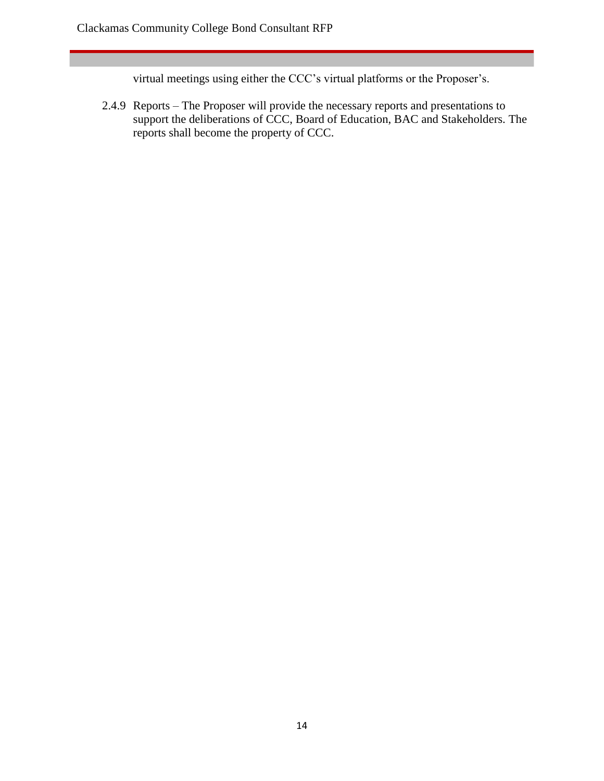virtual meetings using either the CCC's virtual platforms or the Proposer's.

2.4.9 Reports – The Proposer will provide the necessary reports and presentations to support the deliberations of CCC, Board of Education, BAC and Stakeholders. The reports shall become the property of CCC.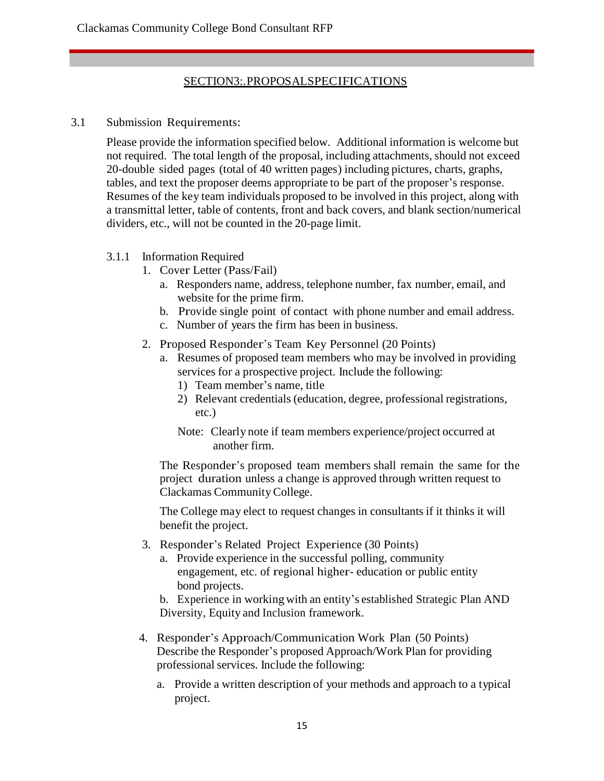# SECTION3:.PROPOSALSPECIFICATIONS

3.1 Submission Requirements:

Please provide the information specified below. Additional information is welcome but not required. The total length of the proposal, including attachments, should not exceed 20-double sided pages (total of 40 written pages) including pictures, charts, graphs, tables, and text the proposer deems appropriate to be part of the proposer's response. Resumes of the key team individuals proposed to be involved in this project, along with a transmittal letter, table of contents, front and back covers, and blank section/numerical dividers, etc., will not be counted in the 20-page limit.

- 3.1.1 Information Required
	- 1. Cover Letter (Pass/Fail)
		- a. Responders name, address, telephone number, fax number, email, and website for the prime firm.
		- b. Provide single point of contact with phone number and email address.
		- c. Number of years the firm has been in business.
	- 2. Proposed Responder's Team Key Personnel (20 Points)
		- a. Resumes of proposed team members who may be involved in providing services for a prospective project. Include the following:
			- 1) Team member's name, title
			- 2) Relevant credentials (education, degree, professional registrations, etc.)
			- Note: Clearly note if team members experience/project occurred at another firm.

The Responder's proposed team members shall remain the same for the project duration unless a change is approved through written request to Clackamas CommunityCollege.

The College may elect to request changes in consultants if it thinks it will benefit the project.

- 3. Responder's Related Project Experience (30 Points)
	- a. Provide experience in the successful polling, community engagement, etc. of regional higher- education or public entity bond projects.
	- b. Experience in working with an entity's established Strategic Plan AND Diversity, Equity and Inclusion framework.
- 4. Responder's Approach/Communication Work Plan (50 Points) Describe the Responder's proposed Approach/Work Plan for providing professional services. Include the following:
	- a. Provide a written description of your methods and approach to a typical project.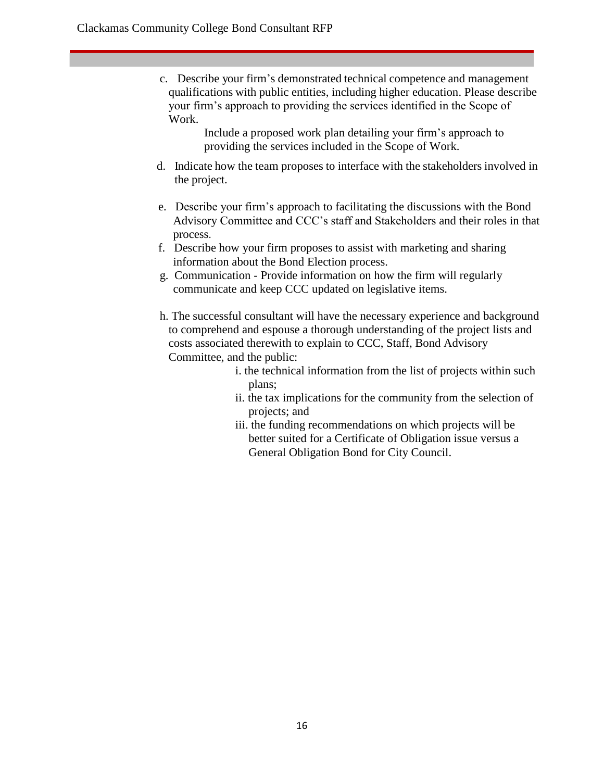c. Describe your firm's demonstrated technical competence and management qualifications with public entities, including higher education. Please describe your firm's approach to providing the services identified in the Scope of Work.

> Include a proposed work plan detailing your firm's approach to providing the services included in the Scope of Work.

- d. Indicate how the team proposes to interface with the stakeholders involved in the project.
- e. Describe your firm's approach to facilitating the discussions with the Bond Advisory Committee and CCC's staff and Stakeholders and their roles in that process.
- f. Describe how your firm proposes to assist with marketing and sharing information about the Bond Election process.
- g. Communication Provide information on how the firm will regularly communicate and keep CCC updated on legislative items.
- h. The successful consultant will have the necessary experience and background to comprehend and espouse a thorough understanding of the project lists and costs associated therewith to explain to CCC, Staff, Bond Advisory Committee, and the public:
	- i. the technical information from the list of projects within such plans;
		- ii. the tax implications for the community from the selection of projects; and
		- iii. the funding recommendations on which projects will be better suited for a Certificate of Obligation issue versus a General Obligation Bond for City Council.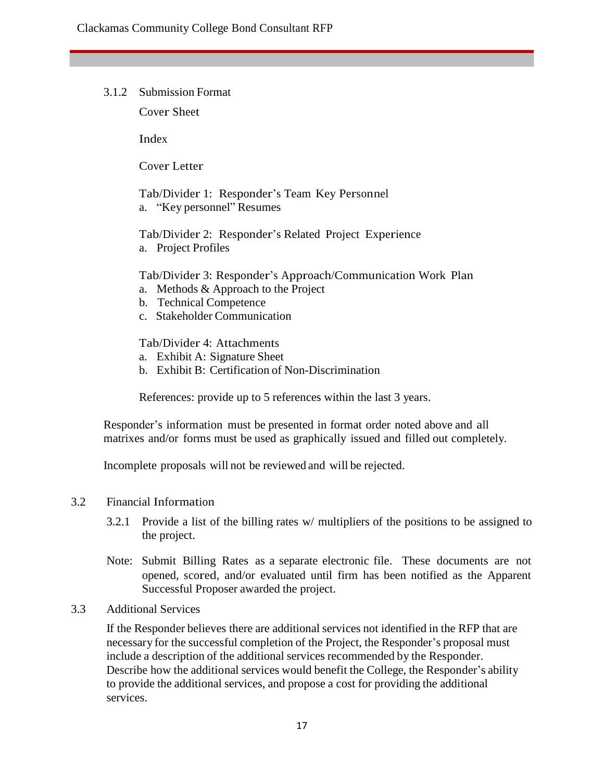3.1.2 Submission Format

Cover Sheet

Index

Cover Letter

Tab/Divider 1: Responder's Team Key Personnel a. "Key personnel" Resumes

Tab/Divider 2: Responder's Related Project Experience a. Project Profiles

Tab/Divider 3: Responder's Approach/Communication Work Plan

- a. Methods & Approach to the Project
- b. Technical Competence
- c. Stakeholder Communication

Tab/Divider 4: Attachments

- a. Exhibit A: Signature Sheet
- b. Exhibit B: Certification of Non-Discrimination

References: provide up to 5 references within the last 3 years.

Responder's information must be presented in format order noted above and all matrixes and/or forms must be used as graphically issued and filled out completely.

Incomplete proposals will not be reviewed and will be rejected.

# 3.2 Financial Information

- 3.2.1 Provide a list of the billing rates w/ multipliers of the positions to be assigned to the project.
- Note: Submit Billing Rates as a separate electronic file. These documents are not opened, scored, and/or evaluated until firm has been notified as the Apparent Successful Proposer awarded the project.

# 3.3 Additional Services

If the Responder believes there are additional services not identified in the RFP that are necessary for the successful completion of the Project, the Responder's proposal must include a description of the additional services recommended by the Responder. Describe how the additional services would benefit the College, the Responder's ability to provide the additional services, and propose a cost for providing the additional services.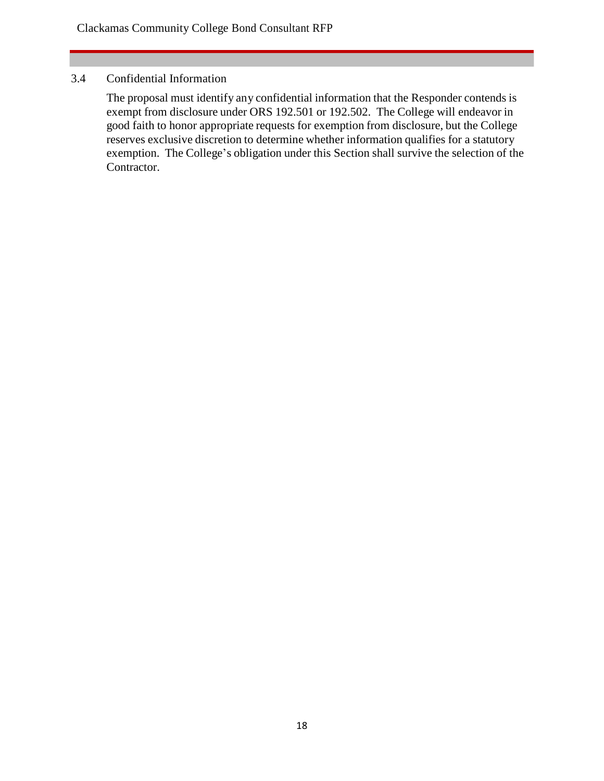# 3.4 Confidential Information

The proposal must identify any confidential information that the Responder contends is exempt from disclosure under ORS 192.501 or 192.502. The College will endeavor in good faith to honor appropriate requests for exemption from disclosure, but the College reserves exclusive discretion to determine whether information qualifies for a statutory exemption. The College's obligation under this Section shall survive the selection of the Contractor.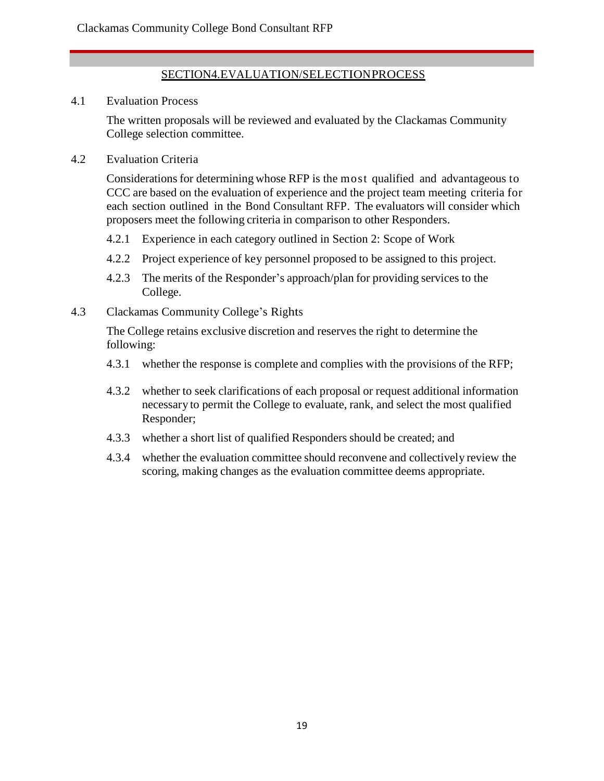# SECTION4.EVALUATION/SELECTIONPROCESS

4.1 Evaluation Process

The written proposals will be reviewed and evaluated by the Clackamas Community College selection committee.

4.2 Evaluation Criteria

Considerations for determining whose RFP is the most qualified and advantageous to CCC are based on the evaluation of experience and the project team meeting criteria for each section outlined in the Bond Consultant RFP. The evaluators will consider which proposers meet the following criteria in comparison to other Responders.

- 4.2.1 Experience in each category outlined in Section 2: Scope of Work
- 4.2.2 Project experience of key personnel proposed to be assigned to this project.
- 4.2.3 The merits of the Responder's approach/plan for providing services to the College.
- 4.3 Clackamas Community College's Rights

The College retains exclusive discretion and reserves the right to determine the following:

- 4.3.1 whether the response is complete and complies with the provisions of the RFP;
- 4.3.2 whether to seek clarifications of each proposal or request additional information necessary to permit the College to evaluate, rank, and select the most qualified Responder;
- 4.3.3 whether a short list of qualified Responders should be created; and
- 4.3.4 whether the evaluation committee should reconvene and collectively review the scoring, making changes as the evaluation committee deems appropriate.